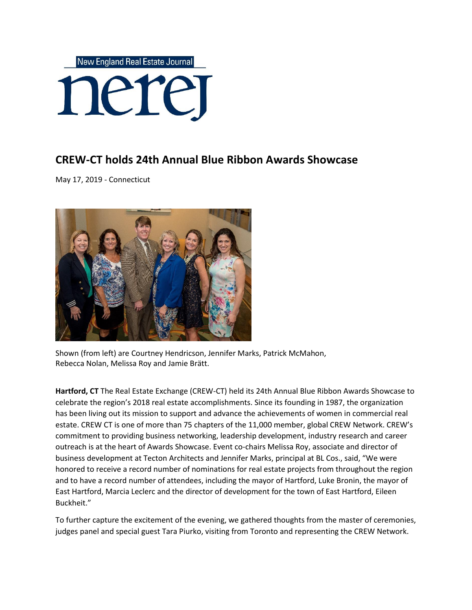

## **CREW-CT holds 24th Annual Blue Ribbon Awards Showcase**

May 17, 2019 - Connecticut



Shown (from left) are Courtney Hendricson, Jennifer Marks, Patrick McMahon, Rebecca Nolan, Melissa Roy and Jamie Brätt.

**Hartford, CT** The Real Estate Exchange (CREW-CT) held its 24th Annual Blue Ribbon Awards Showcase to celebrate the region's 2018 real estate accomplishments. Since its founding in 1987, the organization has been living out its mission to support and advance the achievements of women in commercial real estate. CREW CT is one of more than 75 chapters of the 11,000 member, global CREW Network. CREW's commitment to providing business networking, leadership development, industry research and career outreach is at the heart of Awards Showcase. Event co-chairs Melissa Roy, associate and director of business development at Tecton Architects and Jennifer Marks, principal at BL Cos., said, "We were honored to receive a record number of nominations for real estate projects from throughout the region and to have a record number of attendees, including the mayor of Hartford, Luke Bronin, the mayor of East Hartford, Marcia Leclerc and the director of development for the town of East Hartford, Eileen Buckheit."

To further capture the excitement of the evening, we gathered thoughts from the master of ceremonies, judges panel and special guest Tara Piurko, visiting from Toronto and representing the CREW Network.